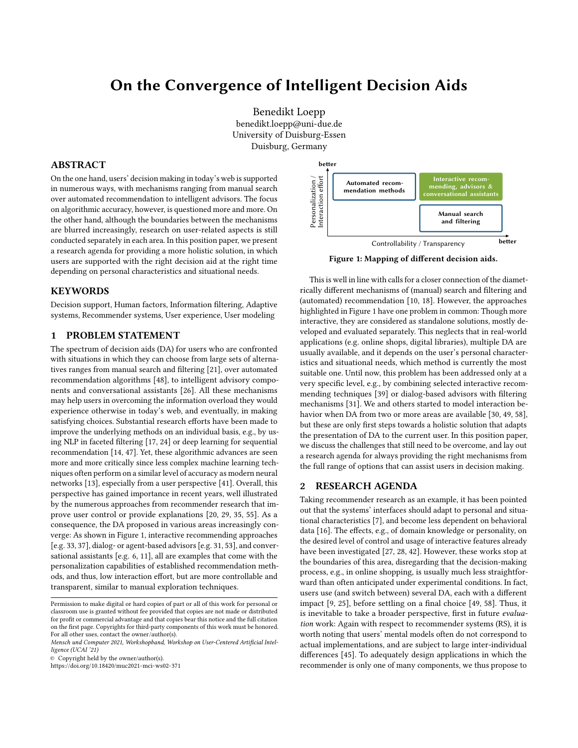# On the Convergence of Intelligent Decision Aids

Benedikt Loepp benedikt.loepp@uni-due.de University of Duisburg-Essen Duisburg, Germany

#### ABSTRACT

On the one hand, users' decision making in today's web is supported in numerous ways, with mechanisms ranging from manual search over automated recommendation to intelligent advisors. The focus on algorithmic accuracy, however, is questioned more and more. On the other hand, although the boundaries between the mechanisms are blurred increasingly, research on user-related aspects is still conducted separately in each area. In this position paper, we present a research agenda for providing a more holistic solution, in which users are supported with the right decision aid at the right time depending on personal characteristics and situational needs.

#### KEYWORDS

Decision support, Human factors, Information filtering, Adaptive systems, Recommender systems, User experience, User modeling

## 1 PROBLEM STATEMENT

The spectrum of decision aids (DA) for users who are confronted with situations in which they can choose from large sets of alternatives ranges from manual search and filtering [\[21\]](#page-2-0), over automated recommendation algorithms [\[48\]](#page-3-0), to intelligent advisory components and conversational assistants [\[26\]](#page-2-1). All these mechanisms may help users in overcoming the information overload they would experience otherwise in today's web, and eventually, in making satisfying choices. Substantial research efforts have been made to improve the underlying methods on an individual basis, e.g., by using NLP in faceted filtering [\[17,](#page-2-2) [24\]](#page-2-3) or deep learning for sequential recommendation [\[14,](#page-2-4) [47\]](#page-3-1). Yet, these algorithmic advances are seen more and more critically since less complex machine learning techniques often perform on a similar level of accuracy as modern neural networks [\[13\]](#page-2-5), especially from a user perspective [\[41\]](#page-2-6). Overall, this perspective has gained importance in recent years, well illustrated by the numerous approaches from recommender research that improve user control or provide explanations [\[20,](#page-2-7) [29,](#page-2-8) [35,](#page-2-9) [55\]](#page-3-2). As a consequence, the DA proposed in various areas increasingly converge: As shown in Figure [1,](#page-0-0) interactive recommending approaches [e.g. [33,](#page-2-10) [37\]](#page-2-11), dialog- or agent-based advisors [e.g. [31,](#page-2-12) [53\]](#page-3-3), and conversational assistants [e.g. [6,](#page-2-13) [11\]](#page-2-14), all are examples that come with the personalization capabilities of established recommendation methods, and thus, low interaction effort, but are more controllable and transparent, similar to manual exploration techniques.

© Copyright held by the owner/author(s).

<https://doi.org/10.18420/muc2021-mci-ws02-371>

<span id="page-0-0"></span>

Figure 1: Mapping of different decision aids.

This is well in line with calls for a closer connection of the diametrically different mechanisms of (manual) search and filtering and (automated) recommendation [\[10,](#page-2-15) [18\]](#page-2-16). However, the approaches highlighted in Figure [1](#page-0-0) have one problem in common: Though more interactive, they are considered as standalone solutions, mostly developed and evaluated separately. This neglects that in real-world applications (e.g. online shops, digital libraries), multiple DA are usually available, and it depends on the user's personal characteristics and situational needs, which method is currently the most suitable one. Until now, this problem has been addressed only at a very specific level, e.g., by combining selected interactive recommending techniques [\[39\]](#page-2-17) or dialog-based advisors with filtering mechanisms [\[31\]](#page-2-12). We and others started to model interaction behavior when DA from two or more areas are available [\[30,](#page-2-18) [49,](#page-3-4) [58\]](#page-3-5), but these are only first steps towards a holistic solution that adapts the presentation of DA to the current user. In this position paper, we discuss the challenges that still need to be overcome, and lay out a research agenda for always providing the right mechanisms from the full range of options that can assist users in decision making.

## 2 RESEARCH AGENDA

Taking recommender research as an example, it has been pointed out that the systems' interfaces should adapt to personal and situational characteristics [\[7\]](#page-2-19), and become less dependent on behavioral data [\[16\]](#page-2-20). The effects, e.g., of domain knowledge or personality, on the desired level of control and usage of interactive features already have been investigated [\[27,](#page-2-21) [28,](#page-2-22) [42\]](#page-2-23). However, these works stop at the boundaries of this area, disregarding that the decision-making process, e.g., in online shopping, is usually much less straightforward than often anticipated under experimental conditions. In fact, users use (and switch between) several DA, each with a different impact [\[9,](#page-2-24) [25\]](#page-2-25), before settling on a final choice [\[49,](#page-3-4) [58\]](#page-3-5). Thus, it is inevitable to take a broader perspective, first in future evaluation work: Again with respect to recommender systems (RS), it is worth noting that users' mental models often do not correspond to actual implementations, and are subject to large inter-individual differences [\[45\]](#page-3-6). To adequately design applications in which the recommender is only one of many components, we thus propose to

Permission to make digital or hard copies of part or all of this work for personal or classroom use is granted without fee provided that copies are not made or distributed for profit or commercial advantage and that copies bear this notice and the full citation on the first page. Copyrights for third-party components of this work must be honored. For all other uses, contact the owner/author(s).

Mensch und Computer 2021, Workshopband, Workshop on User-Centered Artificial Intelligence (UCAI '21)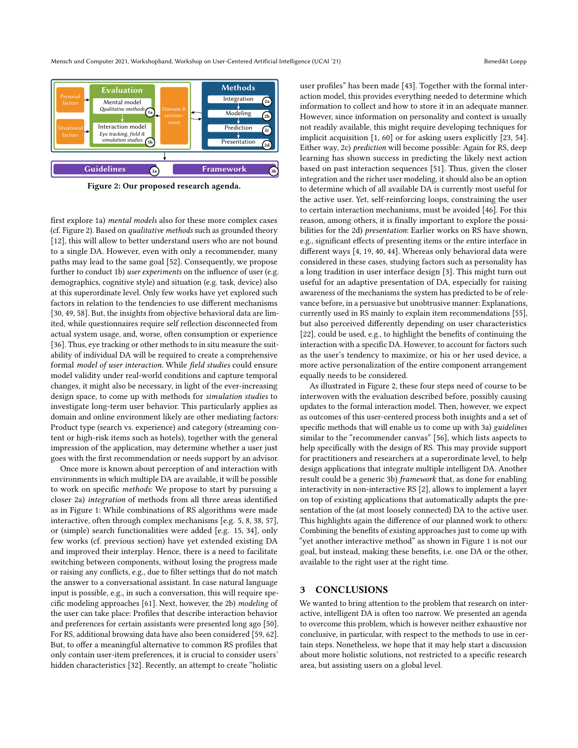Mensch und Computer 2021, Workshopband, Workshop on User-Centered Artificial Intelligence (UCAI '21) Benedikt Loepp

<span id="page-1-0"></span>

Figure 2: Our proposed research agenda.

first explore 1a) mental models also for these more complex cases (cf. Figure [2\)](#page-1-0). Based on qualitative methods such as grounded theory [\[12\]](#page-2-26), this will allow to better understand users who are not bound to a single DA. However, even with only a recommender, many paths may lead to the same goal [\[52\]](#page-3-7). Consequently, we propose further to conduct 1b) *user experiments* on the influence of user (e.g. demographics, cognitive style) and situation (e.g. task, device) also at this superordinate level. Only few works have yet explored such factors in relation to the tendencies to use different mechanisms [\[30,](#page-2-18) [49,](#page-3-4) [58\]](#page-3-5). But, the insights from objective behavioral data are limited, while questionnaires require self reflection disconnected from actual system usage, and, worse, often consumption or experience [\[36\]](#page-2-27). Thus, eye tracking or other methods to in situ measure the suitability of individual DA will be required to create a comprehensive formal model of user interaction. While field studies could ensure model validity under real-world conditions and capture temporal changes, it might also be necessary, in light of the ever-increasing design space, to come up with methods for simulation studies to investigate long-term user behavior. This particularly applies as domain and online environment likely are other mediating factors: Product type (search vs. experience) and category (streaming content or high-risk items such as hotels), together with the general impression of the application, may determine whether a user just goes with the first recommendation or needs support by an advisor.

Once more is known about perception of and interaction with environments in which multiple DA are available, it will be possible to work on specific methods: We propose to start by pursuing a closer 2a) integration of methods from all three areas identified as in Figure [1:](#page-0-0) While combinations of RS algorithms were made interactive, often through complex mechanisms [e.g. [5,](#page-2-28) [8,](#page-2-29) [38,](#page-2-30) [57\]](#page-3-8), or (simple) search functionalities were added [e.g. [15,](#page-2-31) [34\]](#page-2-32), only few works (cf. previous section) have yet extended existing DA and improved their interplay. Hence, there is a need to facilitate switching between components, without losing the progress made or raising any conflicts, e.g., due to filter settings that do not match the answer to a conversational assistant. In case natural language input is possible, e.g., in such a conversation, this will require specific modeling approaches [\[61\]](#page-3-9). Next, however, the 2b) modeling of the user can take place: Profiles that describe interaction behavior and preferences for certain assistants were presented long ago [\[50\]](#page-3-10). For RS, additional browsing data have also been considered [\[59,](#page-3-11) [62\]](#page-3-12). But, to offer a meaningful alternative to common RS profiles that only contain user-item preferences, it is crucial to consider users' hidden characteristics [\[32\]](#page-2-33). Recently, an attempt to create "holistic

user profiles" has been made [\[43\]](#page-2-34). Together with the formal interaction model, this provides everything needed to determine which information to collect and how to store it in an adequate manner. However, since information on personality and context is usually not readily available, this might require developing techniques for implicit acquisition [\[1,](#page-2-35) [60\]](#page-3-13) or for asking users explicitly [\[23,](#page-2-36) [54\]](#page-3-14). Either way, 2c) prediction will become possible: Again for RS, deep learning has shown success in predicting the likely next action based on past interaction sequences [\[51\]](#page-3-15). Thus, given the closer integration and the richer user modeling, it should also be an option to determine which of all available DA is currently most useful for the active user. Yet, self-reinforcing loops, constraining the user to certain interaction mechanisms, must be avoided [\[46\]](#page-3-16). For this reason, among others, it is finally important to explore the possibilities for the 2d) presentation: Earlier works on RS have shown, e.g., significant effects of presenting items or the entire interface in different ways [\[4,](#page-2-37) [19,](#page-2-38) [40,](#page-2-39) [44\]](#page-3-17). Whereas only behavioral data were considered in these cases, studying factors such as personality has a long tradition in user interface design [\[3\]](#page-2-40). This might turn out useful for an adaptive presentation of DA, especially for raising awareness of the mechanisms the system has predicted to be of relevance before, in a persuasive but unobtrusive manner: Explanations, currently used in RS mainly to explain item recommendations [\[55\]](#page-3-2), but also perceived differently depending on user characteristics [\[22\]](#page-2-41), could be used, e.g., to highlight the benefits of continuing the interaction with a specific DA. However, to account for factors such as the user's tendency to maximize, or his or her used device, a more active personalization of the entire component arrangement equally needs to be considered.

As illustrated in Figure [2,](#page-1-0) these four steps need of course to be interwoven with the evaluation described before, possibly causing updates to the formal interaction model. Then, however, we expect as outcomes of this user-centered process both insights and a set of specific methods that will enable us to come up with 3a) guidelines similar to the "recommender canvas" [\[56\]](#page-3-18), which lists aspects to help specifically with the design of RS. This may provide support for practitioners and researchers at a superordinate level, to help design applications that integrate multiple intelligent DA. Another result could be a generic 3b) framework that, as done for enabling interactivity in non-interactive RS [\[2\]](#page-2-42), allows to implement a layer on top of existing applications that automatically adapts the presentation of the (at most loosely connected) DA to the active user. This highlights again the difference of our planned work to others: Combining the benefits of existing approaches just to come up with "yet another interactive method" as shown in Figure [1](#page-0-0) is not our goal, but instead, making these benefits, i.e. one DA or the other, available to the right user at the right time.

## 3 CONCLUSIONS

We wanted to bring attention to the problem that research on interactive, intelligent DA is often too narrow. We presented an agenda to overcome this problem, which is however neither exhaustive nor conclusive, in particular, with respect to the methods to use in certain steps. Nonetheless, we hope that it may help start a discussion about more holistic solutions, not restricted to a specific research area, but assisting users on a global level.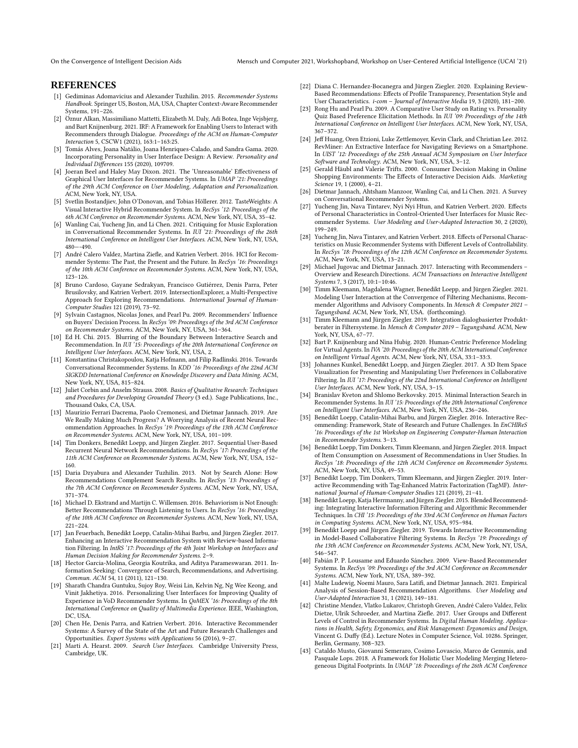### **REFERENCES**

- <span id="page-2-35"></span>[1] Gediminas Adomavicius and Alexander Tuzhilin. 2015. Recommender Systems Handbook. Springer US, Boston, MA, USA, Chapter Context-Aware Recommender Systems, 191–226.
- <span id="page-2-42"></span>[2] Öznur Alkan, Massimiliano Mattetti, Elizabeth M. Daly, Adi Botea, Inge Vejsbjerg, and Bart Knijnenburg. 2021. IRF: A Framework for Enabling Users to Interact with Recommenders through Dialogue. Proceedings of the ACM on Human-Computer Interaction 5, CSCW1 (2021), 163:1–163:25.
- <span id="page-2-40"></span>[3] Tomás Alves, Joana Natálio, Joana Henriques-Calado, and Sandra Gama. 2020. Incorporating Personality in User Interface Design: A Review. Personality and Individual Differences 155 (2020), 109709.
- <span id="page-2-37"></span>[4] Joeran Beel and Haley May Dixon. 2021. The 'Unreasonable' Effectiveness of Graphical User Interfaces for Recommender Systems. In UMAP '21: Proceedings of the 29th ACM Conference on User Modeling, Adaptation and Personalization. ACM, New York, NY, USA.
- <span id="page-2-28"></span>[5] Svetlin Bostandjiev, John O'Donovan, and Tobias Höllerer. 2012. TasteWeights: A Visual Interactive Hybrid Recommender System. In RecSys '12: Proceedings of the 6th ACM Conference on Recommender Systems. ACM, New York, NY, USA, 35–42.
- <span id="page-2-13"></span>[6] Wanling Cai, Yucheng Jin, and Li Chen. 2021. Critiquing for Music Exploration in Conversational Recommender Systems. In IUI '21: Proceedings of the 26th International Conference on Intelligent User Interfaces. ACM, New York, NY, USA, 480—-490.
- <span id="page-2-19"></span>[7] André Calero Valdez, Martina Ziefle, and Katrien Verbert. 2016. HCI for Recommender Systems: The Past, the Present and the Future. In RecSys '16: Proceedings of the 10th ACM Conference on Recommender Systems. ACM, New York, NY, USA, 123–126.
- <span id="page-2-29"></span>[8] Bruno Cardoso, Gayane Sedrakyan, Francisco Gutiérrez, Denis Parra, Peter Brusilovsky, and Katrien Verbert. 2019. IntersectionExplorer, a Multi-Perspective Approach for Exploring Recommendations. International Journal of Human-Computer Studies 121 (2019), 73–92.
- <span id="page-2-24"></span>[9] Sylvain Castagnos, Nicolas Jones, and Pearl Pu. 2009. Recommenders' Influence on Buyers' Decision Process. In RecSys '09: Proceedings of the 3rd ACM Conference on Recommender Systems. ACM, New York, NY, USA, 361–364.
- <span id="page-2-15"></span>[10] Ed H. Chi. 2015. Blurring of the Boundary Between Interactive Search and Recommendation. In IUI '15: Proceedings of the 20th International Conference on Intelligent User Interfaces. ACM, New York, NY, USA, 2.
- <span id="page-2-14"></span>[11] Konstantina Christakopoulou, Katja Hofmann, and Filip Radlinski. 2016. Towards Conversational Recommender Systems. In KDD '16: Proceedings of the 22nd ACM SIGKDD International Conference on Knowledge Discovery and Data Mining. ACM, New York, NY, USA, 815–824.
- <span id="page-2-26"></span>[12] Juliet Corbin and Anselm Strauss. 2008. Basics of Qualitative Research: Techniques and Procedures for Developing Grounded Theory (3 ed.). Sage Publications, Inc., Thousand Oaks, CA, USA.
- <span id="page-2-5"></span>[13] Maurizio Ferrari Dacrema, Paolo Cremonesi, and Dietmar Jannach. 2019. Are We Really Making Much Progress? A Worrying Analysis of Recent Neural Recommendation Approaches. In RecSys '19: Proceedings of the 13th ACM Conference on Recommender Systems. ACM, New York, NY, USA, 101–109.
- <span id="page-2-4"></span>[14] Tim Donkers, Benedikt Loepp, and Jürgen Ziegler. 2017. Sequential User-Based Recurrent Neural Network Recommendations. In RecSys '17: Proceedings of the 11th ACM Conference on Recommender Systems. ACM, New York, NY, USA, 152– 160.
- <span id="page-2-31"></span>[15] Daria Dzyabura and Alexander Tuzhilin. 2013. Not by Search Alone: How Recommendations Complement Search Results. In RecSys '13: Proceedings of the 7th ACM Conference on Recommender Systems. ACM, New York, NY, USA, 371–374.
- <span id="page-2-20"></span>[16] Michael D. Ekstrand and Martijn C. Willemsen. 2016. Behaviorism is Not Enough: Better Recommendations Through Listening to Users. In RecSys '16: Proceedings of the 10th ACM Conference on Recommender Systems. ACM, New York, NY, USA, 221–224.
- <span id="page-2-2"></span>[17] Jan Feuerbach, Benedikt Loepp, Catalin-Mihai Barbu, and Jürgen Ziegler. 2017. Enhancing an Interactive Recommendation System with Review-based Information Filtering. In IntRS '17: Proceedings of the 4th Joint Workshop on Interfaces and Human Decision Making for Recommender Systems. 2–9.
- <span id="page-2-16"></span>[18] Hector Garcia-Molina, Georgia Koutrika, and Aditya Parameswaran. 2011. Information Seeking: Convergence of Search, Recommendations, and Advertising. Commun. ACM 54, 11 (2011), 121–130.
- <span id="page-2-38"></span>[19] Sharath Chandra Guntuku, Sujoy Roy, Weisi Lin, Kelvin Ng, Ng Wee Keong, and Vinit Jakhetiya. 2016. Personalizing User Interfaces for Improving Quality of Experience in VoD Recommender Systems. In QoMEX '16: Proceedings of the 8th International Conference on Quality of Multimedia Experience. IEEE, Washington, DC, USA.
- <span id="page-2-7"></span>[20] Chen He, Denis Parra, and Katrien Verbert. 2016. Interactive Recommender Systems: A Survey of the State of the Art and Future Research Challenges and Opportunities. Expert Systems with Applications 56 (2016), 9–27.
- <span id="page-2-0"></span>[21] Marti A. Hearst. 2009. Search User Interfaces. Cambridge University Press, Cambridge, UK.
- <span id="page-2-41"></span>[22] Diana C. Hernandez-Bocanegra and Jürgen Ziegler. 2020. Explaining Review-Based Recommendations: Effects of Profile Transparency, Presentation Style and User Characteristics. i-com – Journal of Interactive Media 19, 3 (2020), 181–200.
- <span id="page-2-36"></span>[23] Rong Hu and Pearl Pu. 2009. A Comparative User Study on Rating vs. Personality Quiz Based Preference Elicitation Methods. In IUI '09: Proceedings of the 14th International Conference on Intelligent User Interfaces. ACM, New York, NY, USA, 367–372.
- <span id="page-2-3"></span>[24] Jeff Huang, Oren Etzioni, Luke Zettlemoyer, Kevin Clark, and Christian Lee. 2012. RevMiner: An Extractive Interface for Navigating Reviews on a Smartphone. In UIST '12: Proceedings of the 25th Annual ACM Symposium on User Interface Software and Technology. ACM, New York, NY, USA, 3–12.
- <span id="page-2-25"></span>[25] Gerald Häubl and Valerie Trifts. 2000. Consumer Decision Making in Online Shopping Environments: The Effects of Interactive Decision Aids. Marketing Science 19, 1 (2000), 4–21.
- <span id="page-2-1"></span>[26] Dietmar Jannach, Ahtsham Manzoor, Wanling Cai, and Li Chen. 2021. A Survey on Conversational Recommender Systems.
- <span id="page-2-21"></span>[27] Yucheng Jin, Nava Tintarev, Nyi Nyi Htun, and Katrien Verbert. 2020. Effects of Personal Characteristics in Control-Oriented User Interfaces for Music Recommender Systems. User Modeling and User-Adapted Interaction 30, 2 (2020), 199–249.
- <span id="page-2-22"></span>[28] Yucheng Jin, Nava Tintarev, and Katrien Verbert. 2018. Effects of Personal Characteristics on Music Recommender Systems with Different Levels of Controllability. In RecSys '18: Proceedings of the 12th ACM Conference on Recommender Systems. ACM, New York, NY, USA, 13–21.
- <span id="page-2-8"></span>[29] Michael Jugovac and Dietmar Jannach. 2017. Interacting with Recommenders – Overview and Research Directions. ACM Transactions on Interactive Intelligent Systems 7, 3 (2017), 10:1–10:46.
- <span id="page-2-18"></span>[30] Timm Kleemann, Magdalena Wagner, Benedikt Loepp, and Jürgen Ziegler. 2021. Modeling User Interaction at the Convergence of Filtering Mechanisms, Recommender Algorithms and Advisory Components. In Mensch & Computer 2021 – Tagungsband. ACM, New York, NY, USA. (forthcoming).
- <span id="page-2-12"></span>[31] Timm Kleemann and Jürgen Ziegler. 2019. Integration dialogbasierter Produktberater in Filtersysteme. In Mensch & Computer 2019 – Tagungsband. ACM, New York, NY, USA, 67–77.
- <span id="page-2-33"></span>[32] Bart P. Knijnenburg and Nina Hubig. 2020. Human-Centric Preference Modeling for Virtual Agents. In IVA '20: Proceedings of the 20th ACM International Conference on Intelligent Virtual Agents. ACM, New York, NY, USA, 33:1–33:3.
- <span id="page-2-10"></span>[33] Johannes Kunkel, Benedikt Loepp, and Jürgen Ziegler. 2017. A 3D Item Space Visualization for Presenting and Manipulating User Preferences in Collaborative Filtering. In IUI '17: Proceedings of the 22nd International Conference on Intelligent User Interfaces. ACM, New York, NY, USA, 3–15.
- <span id="page-2-32"></span>[34] Branislav Kveton and Shlomo Berkovsky. 2015. Minimal Interaction Search in Recommender Systems. In IUI '15: Proceedings of the 20th International Conference on Intelligent User Interfaces. ACM, New York, NY, USA, 236–246.
- <span id="page-2-9"></span>[35] Benedikt Loepp, Catalin-Mihai Barbu, and Jürgen Ziegler. 2016. Interactive Recommending: Framework, State of Research and Future Challenges. In EnCHIReS '16: Proceedings of the 1st Workshop on Engineering Computer-Human Interaction in Recommender Systems. 3–13.
- <span id="page-2-27"></span>[36] Benedikt Loepp, Tim Donkers, Timm Kleemann, and Jürgen Ziegler. 2018. Impact of Item Consumption on Assessment of Recommendations in User Studies. In RecSys '18: Proceedings of the 12th ACM Conference on Recommender Systems. ACM, New York, NY, USA, 49–53.
- <span id="page-2-11"></span>[37] Benedikt Loepp, Tim Donkers, Timm Kleemann, and Jürgen Ziegler. 2019. Interactive Recommending with Tag-Enhanced Matrix Factorization (TagMF). International Journal of Human-Computer Studies 121 (2019), 21–41.
- <span id="page-2-30"></span>[38] Benedikt Loepp, Katja Herrmanny, and Jürgen Ziegler. 2015. Blended Recommending: Integrating Interactive Information Filtering and Algorithmic Recommender Techniques. In CHI '15: Proceedings of the 33rd ACM Conference on Human Factors in Computing Systems. ACM, New York, NY, USA, 975–984.
- <span id="page-2-17"></span>[39] Benedikt Loepp and Jürgen Ziegler. 2019. Towards Interactive Recommending in Model-Based Collaborative Filtering Systems. In RecSys '19: Proceedings of the 13th ACM Conference on Recommender Systems. ACM, New York, NY, USA, 546–547.
- <span id="page-2-39"></span>[40] Fabián P. P. Lousame and Eduardo Sánchez. 2009. View-Based Recommender Systems. In RecSys '09: Proceedings of the 3rd ACM Conference on Recommender Systems. ACM, New York, NY, USA, 389–392.
- <span id="page-2-6"></span>[41] Malte Ludewig, Noemi Mauro, Sara Latifi, and Dietmar Jannach. 2021. Empirical Analysis of Session-Based Recommendation Algorithms. User Modeling and User-Adapted Interaction 31, 1 (2021), 149–181.
- <span id="page-2-23"></span>[42] Christine Mendez, Vlatko Lukarov, Christoph Greven, André Calero Valdez, Felix Dietze, Ulrik Schroeder, and Martina Ziefle. 2017. User Groups and Different Levels of Control in Recommender Systems. In Digital Human Modeling. Applications in Health, Safety, Ergonomics, and Risk Management: Ergonomics and Design, Vincent G. Duffy (Ed.). Lecture Notes in Computer Science, Vol. 10286. Springer, Berlin, Germany, 308–323.
- <span id="page-2-34"></span>[43] Cataldo Musto, Giovanni Semeraro, Cosimo Lovascio, Marco de Gemmis, and Pasquale Lops. 2018. A Framework for Holistic User Modeling Merging Heterogeneous Digital Footprints. In UMAP '18: Proceedings of the 26th ACM Conference